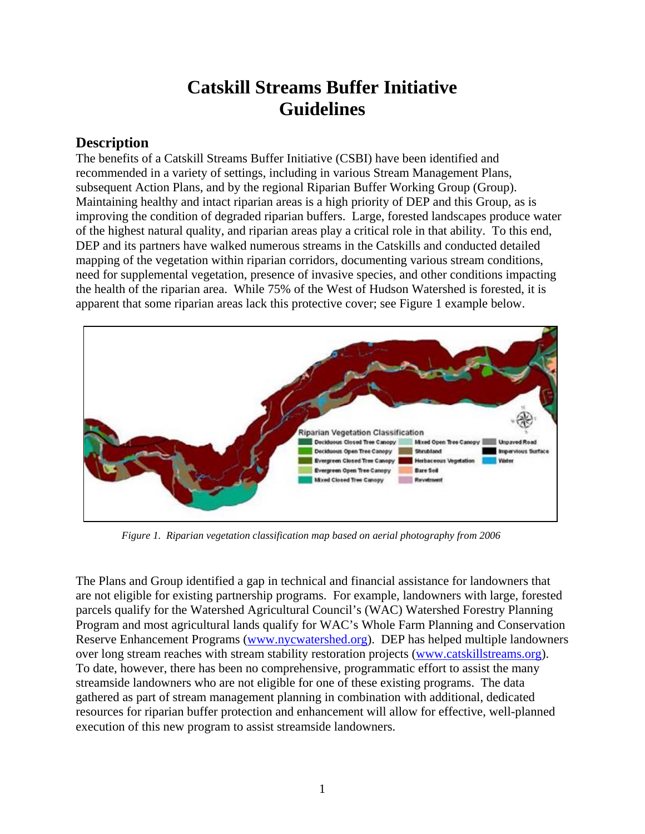# **Catskill Streams Buffer Initiative Guidelines**

#### **Description**

The benefits of a Catskill Streams Buffer Initiative (CSBI) have been identified and recommended in a variety of settings, including in various Stream Management Plans, subsequent Action Plans, and by the regional Riparian Buffer Working Group (Group). Maintaining healthy and intact riparian areas is a high priority of DEP and this Group, as is improving the condition of degraded riparian buffers. Large, forested landscapes produce water of the highest natural quality, and riparian areas play a critical role in that ability. To this end, DEP and its partners have walked numerous streams in the Catskills and conducted detailed mapping of the vegetation within riparian corridors, documenting various stream conditions, need for supplemental vegetation, presence of invasive species, and other conditions impacting the health of the riparian area. While 75% of the West of Hudson Watershed is forested, it is apparent that some riparian areas lack this protective cover; see Figure 1 example below.



*Figure 1. Riparian vegetation classification map based on aerial photography from 2006* 

The Plans and Group identified a gap in technical and financial assistance for landowners that are not eligible for existing partnership programs. For example, landowners with large, forested parcels qualify for the Watershed Agricultural Council's (WAC) Watershed Forestry Planning Program and most agricultural lands qualify for WAC's Whole Farm Planning and Conservation Reserve Enhancement Programs (www.nycwatershed.org). DEP has helped multiple landowners over long stream reaches with stream stability restoration projects (www.catskillstreams.org). To date, however, there has been no comprehensive, programmatic effort to assist the many streamside landowners who are not eligible for one of these existing programs. The data gathered as part of stream management planning in combination with additional, dedicated resources for riparian buffer protection and enhancement will allow for effective, well-planned execution of this new program to assist streamside landowners.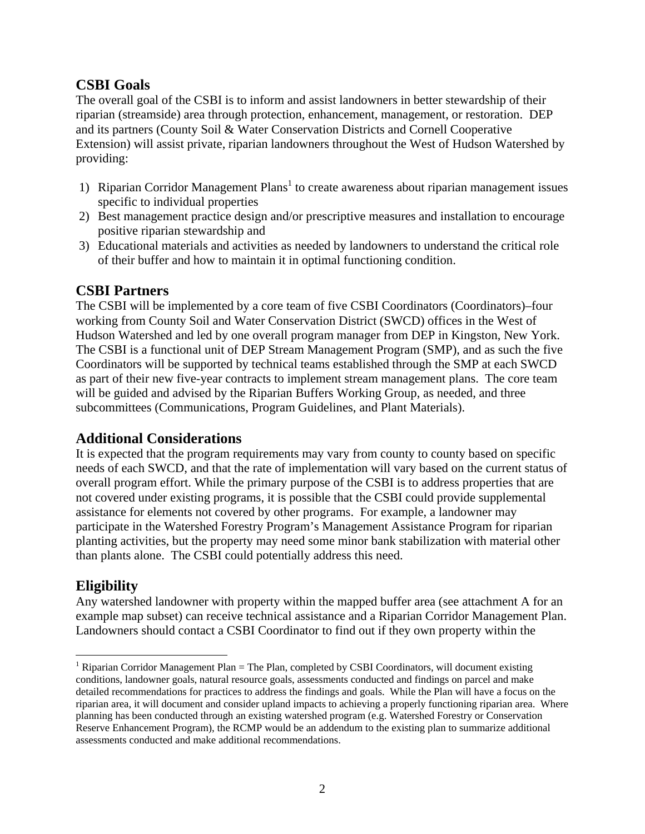## **CSBI Goals**

The overall goal of the CSBI is to inform and assist landowners in better stewardship of their riparian (streamside) area through protection, enhancement, management, or restoration. DEP and its partners (County Soil & Water Conservation Districts and Cornell Cooperative Extension) will assist private, riparian landowners throughout the West of Hudson Watershed by providing:

- 1) Riparian Corridor Management Plans<sup>1</sup> to create awareness about riparian management issues specific to individual properties
- 2) Best management practice design and/or prescriptive measures and installation to encourage positive riparian stewardship and
- 3) Educational materials and activities as needed by landowners to understand the critical role of their buffer and how to maintain it in optimal functioning condition.

### **CSBI Partners**

The CSBI will be implemented by a core team of five CSBI Coordinators (Coordinators)–four working from County Soil and Water Conservation District (SWCD) offices in the West of Hudson Watershed and led by one overall program manager from DEP in Kingston, New York. The CSBI is a functional unit of DEP Stream Management Program (SMP), and as such the five Coordinators will be supported by technical teams established through the SMP at each SWCD as part of their new five-year contracts to implement stream management plans. The core team will be guided and advised by the Riparian Buffers Working Group, as needed, and three subcommittees (Communications, Program Guidelines, and Plant Materials).

### **Additional Considerations**

It is expected that the program requirements may vary from county to county based on specific needs of each SWCD, and that the rate of implementation will vary based on the current status of overall program effort. While the primary purpose of the CSBI is to address properties that are not covered under existing programs, it is possible that the CSBI could provide supplemental assistance for elements not covered by other programs. For example, a landowner may participate in the Watershed Forestry Program's Management Assistance Program for riparian planting activities, but the property may need some minor bank stabilization with material other than plants alone. The CSBI could potentially address this need.

# **Eligibility**

 $\overline{a}$ 

Any watershed landowner with property within the mapped buffer area (see attachment A for an example map subset) can receive technical assistance and a Riparian Corridor Management Plan. Landowners should contact a CSBI Coordinator to find out if they own property within the

<sup>&</sup>lt;sup>1</sup> Riparian Corridor Management Plan = The Plan, completed by CSBI Coordinators, will document existing conditions, landowner goals, natural resource goals, assessments conducted and findings on parcel and make detailed recommendations for practices to address the findings and goals. While the Plan will have a focus on the riparian area, it will document and consider upland impacts to achieving a properly functioning riparian area. Where planning has been conducted through an existing watershed program (e.g. Watershed Forestry or Conservation Reserve Enhancement Program), the RCMP would be an addendum to the existing plan to summarize additional assessments conducted and make additional recommendations.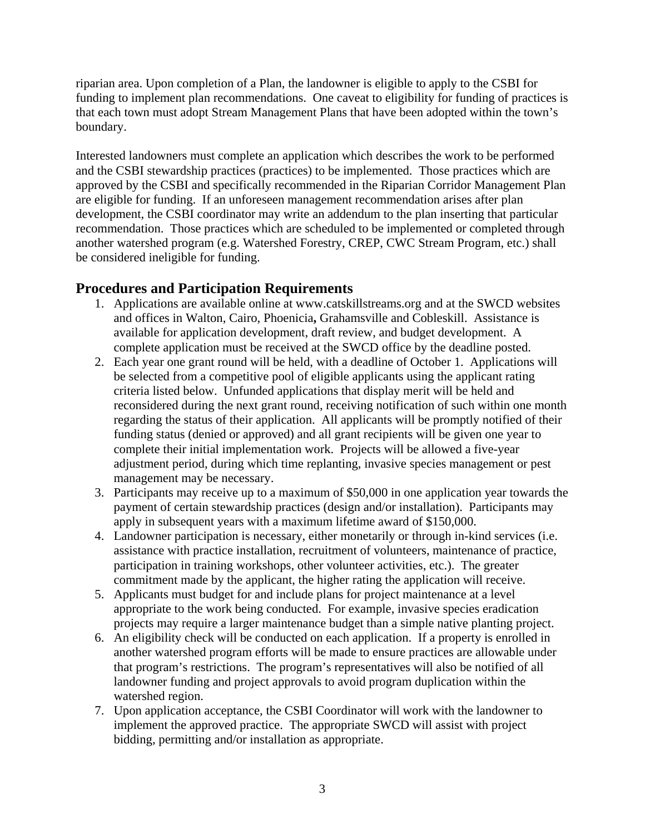riparian area. Upon completion of a Plan, the landowner is eligible to apply to the CSBI for funding to implement plan recommendations. One caveat to eligibility for funding of practices is that each town must adopt Stream Management Plans that have been adopted within the town's boundary.

Interested landowners must complete an application which describes the work to be performed and the CSBI stewardship practices (practices) to be implemented. Those practices which are approved by the CSBI and specifically recommended in the Riparian Corridor Management Plan are eligible for funding. If an unforeseen management recommendation arises after plan development, the CSBI coordinator may write an addendum to the plan inserting that particular recommendation. Those practices which are scheduled to be implemented or completed through another watershed program (e.g. Watershed Forestry, CREP, CWC Stream Program, etc.) shall be considered ineligible for funding.

### **Procedures and Participation Requirements**

- 1. Applications are available online at www.catskillstreams.org and at the SWCD websites and offices in Walton, Cairo, Phoenicia**,** Grahamsville and Cobleskill. Assistance is available for application development, draft review, and budget development. A complete application must be received at the SWCD office by the deadline posted.
- 2. Each year one grant round will be held, with a deadline of October 1. Applications will be selected from a competitive pool of eligible applicants using the applicant rating criteria listed below. Unfunded applications that display merit will be held and reconsidered during the next grant round, receiving notification of such within one month regarding the status of their application. All applicants will be promptly notified of their funding status (denied or approved) and all grant recipients will be given one year to complete their initial implementation work. Projects will be allowed a five-year adjustment period, during which time replanting, invasive species management or pest management may be necessary.
- 3. Participants may receive up to a maximum of \$50,000 in one application year towards the payment of certain stewardship practices (design and/or installation). Participants may apply in subsequent years with a maximum lifetime award of \$150,000.
- 4. Landowner participation is necessary, either monetarily or through in-kind services (i.e. assistance with practice installation, recruitment of volunteers, maintenance of practice, participation in training workshops, other volunteer activities, etc.). The greater commitment made by the applicant, the higher rating the application will receive.
- 5. Applicants must budget for and include plans for project maintenance at a level appropriate to the work being conducted. For example, invasive species eradication projects may require a larger maintenance budget than a simple native planting project.
- 6. An eligibility check will be conducted on each application. If a property is enrolled in another watershed program efforts will be made to ensure practices are allowable under that program's restrictions. The program's representatives will also be notified of all landowner funding and project approvals to avoid program duplication within the watershed region.
- 7. Upon application acceptance, the CSBI Coordinator will work with the landowner to implement the approved practice. The appropriate SWCD will assist with project bidding, permitting and/or installation as appropriate.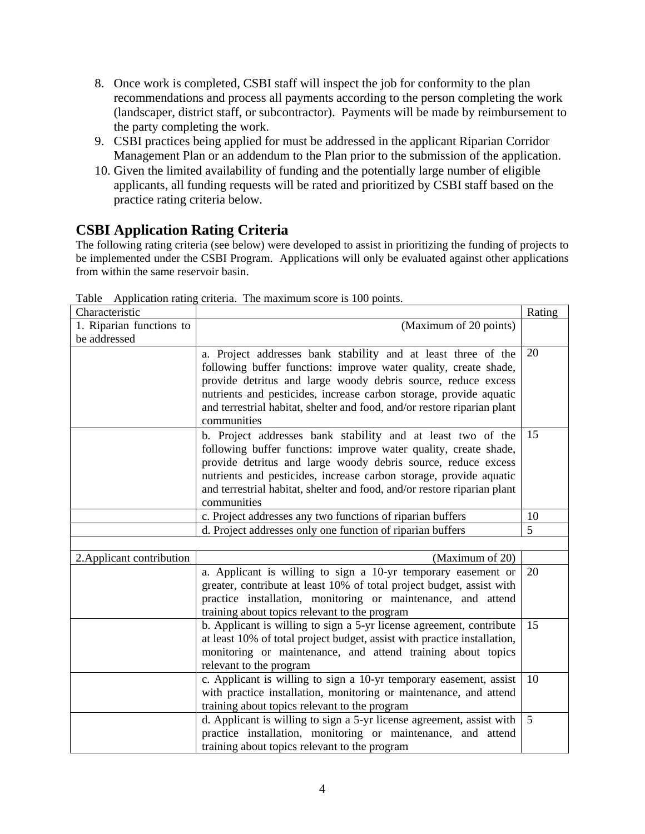- 8. Once work is completed, CSBI staff will inspect the job for conformity to the plan recommendations and process all payments according to the person completing the work (landscaper, district staff, or subcontractor). Payments will be made by reimbursement to the party completing the work.
- 9. CSBI practices being applied for must be addressed in the applicant Riparian Corridor Management Plan or an addendum to the Plan prior to the submission of the application.
- 10. Given the limited availability of funding and the potentially large number of eligible applicants, all funding requests will be rated and prioritized by CSBI staff based on the practice rating criteria below.

# **CSBI Application Rating Criteria**

The following rating criteria (see below) were developed to assist in prioritizing the funding of projects to be implemented under the CSBI Program. Applications will only be evaluated against other applications from within the same reservoir basin.

| Characteristic            |                                                                          | Rating          |
|---------------------------|--------------------------------------------------------------------------|-----------------|
| 1. Riparian functions to  | (Maximum of 20 points)                                                   |                 |
| be addressed              |                                                                          |                 |
|                           | a. Project addresses bank stability and at least three of the            | 20              |
|                           | following buffer functions: improve water quality, create shade,         |                 |
|                           | provide detritus and large woody debris source, reduce excess            |                 |
|                           | nutrients and pesticides, increase carbon storage, provide aquatic       |                 |
|                           | and terrestrial habitat, shelter and food, and/or restore riparian plant |                 |
|                           | communities                                                              |                 |
|                           | b. Project addresses bank stability and at least two of the              | 15              |
|                           | following buffer functions: improve water quality, create shade,         |                 |
|                           | provide detritus and large woody debris source, reduce excess            |                 |
|                           | nutrients and pesticides, increase carbon storage, provide aquatic       |                 |
|                           | and terrestrial habitat, shelter and food, and/or restore riparian plant |                 |
|                           | communities                                                              |                 |
|                           | c. Project addresses any two functions of riparian buffers               | 10              |
|                           | d. Project addresses only one function of riparian buffers               | 5               |
|                           |                                                                          |                 |
| 2. Applicant contribution | (Maximum of 20)                                                          |                 |
|                           | a. Applicant is willing to sign a 10-yr temporary easement or            | 20              |
|                           | greater, contribute at least 10% of total project budget, assist with    |                 |
|                           | practice installation, monitoring or maintenance, and attend             |                 |
|                           | training about topics relevant to the program                            |                 |
|                           | b. Applicant is willing to sign a 5-yr license agreement, contribute     | 15              |
|                           | at least 10% of total project budget, assist with practice installation, |                 |
|                           | monitoring or maintenance, and attend training about topics              |                 |
|                           | relevant to the program                                                  |                 |
|                           | c. Applicant is willing to sign a 10-yr temporary easement, assist       | 10              |
|                           | with practice installation, monitoring or maintenance, and attend        |                 |
|                           | training about topics relevant to the program                            | $5\overline{)}$ |
|                           | d. Applicant is willing to sign a 5-yr license agreement, assist with    |                 |
|                           | practice installation, monitoring or maintenance, and attend             |                 |
|                           | training about topics relevant to the program                            |                 |

Table Application rating criteria. The maximum score is 100 points.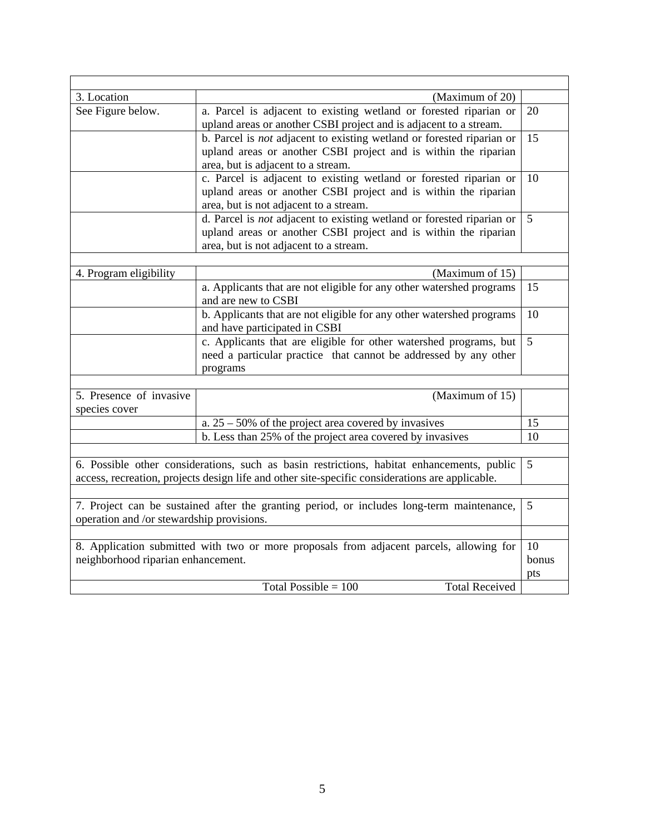| 3. Location                                                                                     | (Maximum of 20)                                                       |                |
|-------------------------------------------------------------------------------------------------|-----------------------------------------------------------------------|----------------|
| See Figure below.                                                                               | a. Parcel is adjacent to existing wetland or forested riparian or     | 20             |
|                                                                                                 | upland areas or another CSBI project and is adjacent to a stream.     |                |
|                                                                                                 | b. Parcel is not adjacent to existing wetland or forested riparian or | 15             |
|                                                                                                 | upland areas or another CSBI project and is within the riparian       |                |
|                                                                                                 | area, but is adjacent to a stream.                                    |                |
|                                                                                                 | c. Parcel is adjacent to existing wetland or forested riparian or     | 10             |
|                                                                                                 | upland areas or another CSBI project and is within the riparian       |                |
|                                                                                                 | area, but is not adjacent to a stream.                                |                |
|                                                                                                 | d. Parcel is not adjacent to existing wetland or forested riparian or | 5              |
|                                                                                                 | upland areas or another CSBI project and is within the riparian       |                |
|                                                                                                 | area, but is not adjacent to a stream.                                |                |
|                                                                                                 |                                                                       |                |
| 4. Program eligibility                                                                          | (Maximum of 15)                                                       |                |
|                                                                                                 | a. Applicants that are not eligible for any other watershed programs  | 15             |
|                                                                                                 | and are new to CSBI                                                   |                |
|                                                                                                 | b. Applicants that are not eligible for any other watershed programs  | 10             |
|                                                                                                 | and have participated in CSBI                                         |                |
|                                                                                                 | c. Applicants that are eligible for other watershed programs, but     | $\overline{5}$ |
|                                                                                                 | need a particular practice that cannot be addressed by any other      |                |
|                                                                                                 | programs                                                              |                |
|                                                                                                 |                                                                       |                |
| 5. Presence of invasive                                                                         | (Maximum of 15)                                                       |                |
| species cover                                                                                   |                                                                       |                |
|                                                                                                 | a. $25 - 50\%$ of the project area covered by invasives               | 15             |
|                                                                                                 | b. Less than 25% of the project area covered by invasives             | 10             |
|                                                                                                 |                                                                       |                |
| 6. Possible other considerations, such as basin restrictions, habitat enhancements, public      |                                                                       | 5              |
| access, recreation, projects design life and other site-specific considerations are applicable. |                                                                       |                |
|                                                                                                 |                                                                       |                |
| 7. Project can be sustained after the granting period, or includes long-term maintenance,       |                                                                       | 5              |
| operation and /or stewardship provisions.                                                       |                                                                       |                |
|                                                                                                 |                                                                       |                |
| 8. Application submitted with two or more proposals from adjacent parcels, allowing for         |                                                                       |                |
| neighborhood riparian enhancement.                                                              |                                                                       |                |
|                                                                                                 |                                                                       | pts            |
| Total Possible = $100$<br><b>Total Received</b>                                                 |                                                                       |                |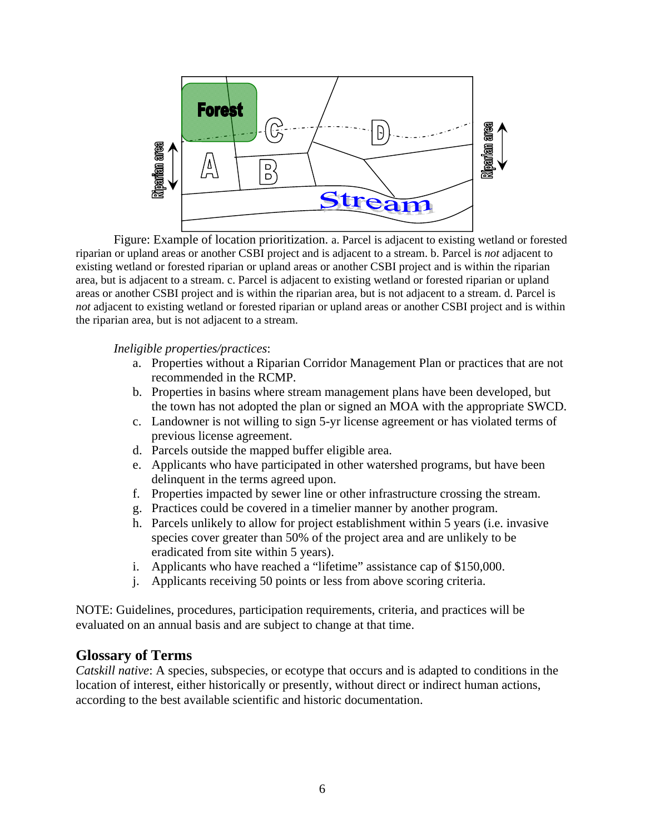

 Figure: Example of location prioritization. a. Parcel is adjacent to existing wetland or forested riparian or upland areas or another CSBI project and is adjacent to a stream. b. Parcel is *not* adjacent to existing wetland or forested riparian or upland areas or another CSBI project and is within the riparian area, but is adjacent to a stream. c. Parcel is adjacent to existing wetland or forested riparian or upland areas or another CSBI project and is within the riparian area, but is not adjacent to a stream. d. Parcel is *not* adjacent to existing wetland or forested riparian or upland areas or another CSBI project and is within the riparian area, but is not adjacent to a stream.

*Ineligible properties/practices*:

- a. Properties without a Riparian Corridor Management Plan or practices that are not recommended in the RCMP.
- b. Properties in basins where stream management plans have been developed, but the town has not adopted the plan or signed an MOA with the appropriate SWCD.
- c. Landowner is not willing to sign 5-yr license agreement or has violated terms of previous license agreement.
- d. Parcels outside the mapped buffer eligible area.
- e. Applicants who have participated in other watershed programs, but have been delinquent in the terms agreed upon.
- f. Properties impacted by sewer line or other infrastructure crossing the stream.
- g. Practices could be covered in a timelier manner by another program.
- h. Parcels unlikely to allow for project establishment within 5 years (i.e. invasive species cover greater than 50% of the project area and are unlikely to be eradicated from site within 5 years).
- i. Applicants who have reached a "lifetime" assistance cap of \$150,000.
- j. Applicants receiving 50 points or less from above scoring criteria.

NOTE: Guidelines, procedures, participation requirements, criteria, and practices will be evaluated on an annual basis and are subject to change at that time.

#### **Glossary of Terms**

*Catskill native*: A species, subspecies, or ecotype that occurs and is adapted to conditions in the location of interest, either historically or presently, without direct or indirect human actions, according to the best available scientific and historic documentation.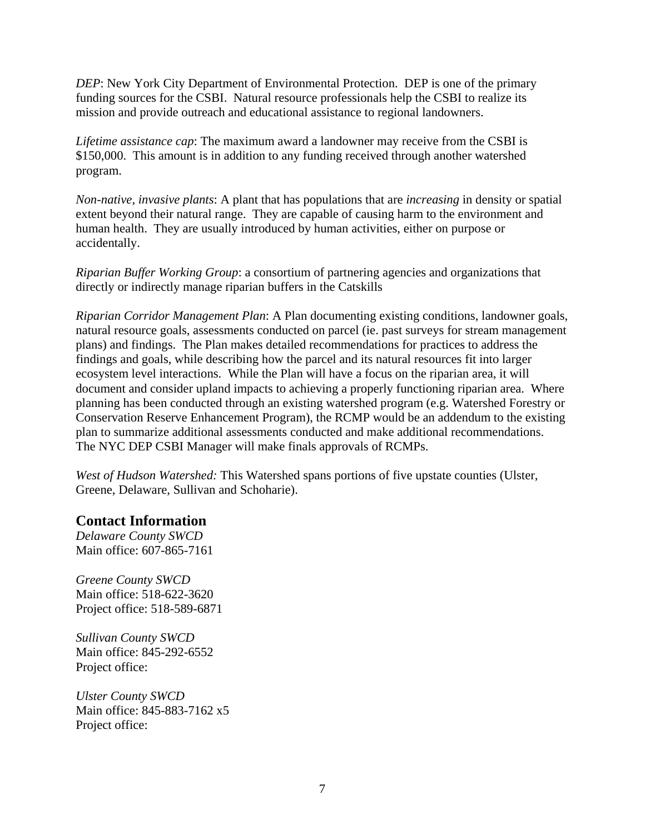*DEP*: New York City Department of Environmental Protection. DEP is one of the primary funding sources for the CSBI. Natural resource professionals help the CSBI to realize its mission and provide outreach and educational assistance to regional landowners.

*Lifetime assistance cap*: The maximum award a landowner may receive from the CSBI is \$150,000. This amount is in addition to any funding received through another watershed program.

*Non-native, invasive plants*: A plant that has populations that are *increasing* in density or spatial extent beyond their natural range. They are capable of causing harm to the environment and human health. They are usually introduced by human activities, either on purpose or accidentally.

*Riparian Buffer Working Group*: a consortium of partnering agencies and organizations that directly or indirectly manage riparian buffers in the Catskills

*Riparian Corridor Management Plan*: A Plan documenting existing conditions, landowner goals, natural resource goals, assessments conducted on parcel (ie. past surveys for stream management plans) and findings. The Plan makes detailed recommendations for practices to address the findings and goals, while describing how the parcel and its natural resources fit into larger ecosystem level interactions. While the Plan will have a focus on the riparian area, it will document and consider upland impacts to achieving a properly functioning riparian area. Where planning has been conducted through an existing watershed program (e.g. Watershed Forestry or Conservation Reserve Enhancement Program), the RCMP would be an addendum to the existing plan to summarize additional assessments conducted and make additional recommendations. The NYC DEP CSBI Manager will make finals approvals of RCMPs.

*West of Hudson Watershed:* This Watershed spans portions of five upstate counties (Ulster, Greene, Delaware, Sullivan and Schoharie).

#### **Contact Information**

*Delaware County SWCD* Main office: 607-865-7161

*Greene County SWCD*  Main office: 518-622-3620 Project office: 518-589-6871

*Sullivan County SWCD* Main office: 845-292-6552 Project office:

*Ulster County SWCD*  Main office: 845-883-7162 x5 Project office: